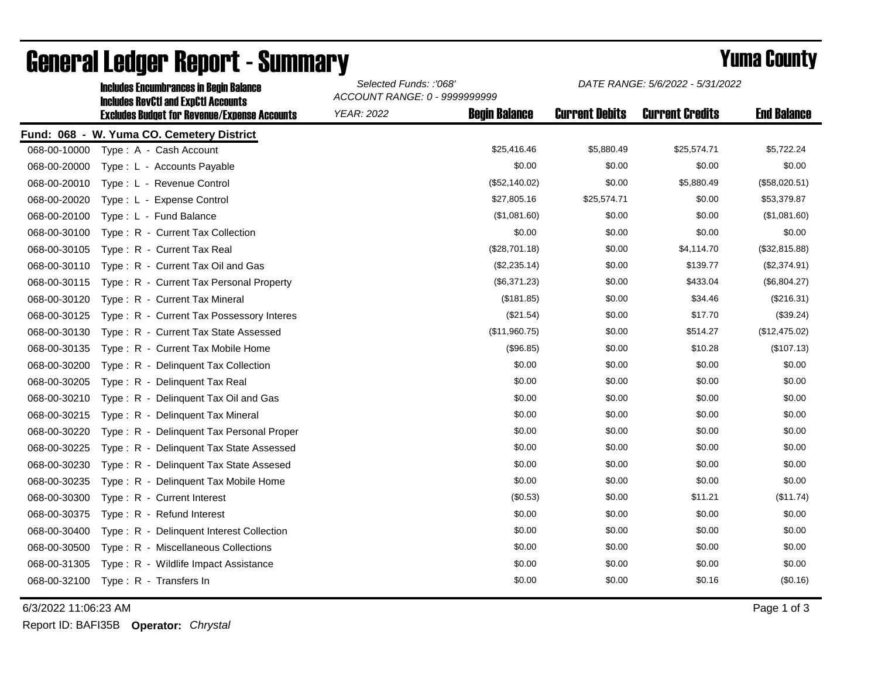|              | <b>Includes Encumbrances in Begin Balance</b><br><b>Includes RevCtI and ExpCtI Accounts</b><br><b>Excludes Budget for Revenue/Expense Accounts</b> | Selected Funds: :'068'<br>ACCOUNT RANGE: 0 - 9999999999 |                      | DATE RANGE: 5/6/2022 - 5/31/2022 |                        |                    |
|--------------|----------------------------------------------------------------------------------------------------------------------------------------------------|---------------------------------------------------------|----------------------|----------------------------------|------------------------|--------------------|
|              |                                                                                                                                                    | <b>YEAR: 2022</b>                                       | <b>Begin Balance</b> | <b>Current Debits</b>            | <b>Current Credits</b> | <b>End Balance</b> |
|              | Fund: 068 - W. Yuma CO. Cemetery District                                                                                                          |                                                         |                      |                                  |                        |                    |
| 068-00-10000 | Type: A - Cash Account                                                                                                                             |                                                         | \$25,416.46          | \$5,880.49                       | \$25,574.71            | \$5,722.24         |
| 068-00-20000 | Type: L - Accounts Payable                                                                                                                         |                                                         | \$0.00               | \$0.00                           | \$0.00                 | \$0.00             |
| 068-00-20010 | Type: L - Revenue Control                                                                                                                          |                                                         | (\$52,140.02)        | \$0.00                           | \$5,880.49             | (\$58,020.51)      |
| 068-00-20020 | Type: L - Expense Control                                                                                                                          |                                                         | \$27,805.16          | \$25,574.71                      | \$0.00                 | \$53,379.87        |
| 068-00-20100 | Type: L - Fund Balance                                                                                                                             |                                                         | (\$1,081.60)         | \$0.00                           | \$0.00                 | (\$1,081.60)       |
| 068-00-30100 | Type: R - Current Tax Collection                                                                                                                   |                                                         | \$0.00               | \$0.00                           | \$0.00                 | \$0.00             |
| 068-00-30105 | Type: R - Current Tax Real                                                                                                                         |                                                         | (\$28,701.18)        | \$0.00                           | \$4,114.70             | (\$32,815.88)      |
| 068-00-30110 | Type: R - Current Tax Oil and Gas                                                                                                                  |                                                         | (\$2,235.14)         | \$0.00                           | \$139.77               | (\$2,374.91)       |
| 068-00-30115 | Type: R - Current Tax Personal Property                                                                                                            |                                                         | (\$6,371.23)         | \$0.00                           | \$433.04               | (\$6,804.27)       |
| 068-00-30120 | Type: R - Current Tax Mineral                                                                                                                      |                                                         | (\$181.85)           | \$0.00                           | \$34.46                | (\$216.31)         |
| 068-00-30125 | Type: R - Current Tax Possessory Interes                                                                                                           |                                                         | (\$21.54)            | \$0.00                           | \$17.70                | (\$39.24)          |
| 068-00-30130 | Type: R - Current Tax State Assessed                                                                                                               |                                                         | (\$11,960.75)        | \$0.00                           | \$514.27               | (\$12,475.02)      |
| 068-00-30135 | Type: R - Current Tax Mobile Home                                                                                                                  |                                                         | (\$96.85)            | \$0.00                           | \$10.28                | (\$107.13)         |
| 068-00-30200 | Type: R - Delinquent Tax Collection                                                                                                                |                                                         | \$0.00               | \$0.00                           | \$0.00                 | \$0.00             |
| 068-00-30205 | Type: R - Delinquent Tax Real                                                                                                                      |                                                         | \$0.00               | \$0.00                           | \$0.00                 | \$0.00             |
| 068-00-30210 | Type: R - Delinquent Tax Oil and Gas                                                                                                               |                                                         | \$0.00               | \$0.00                           | \$0.00                 | \$0.00             |
| 068-00-30215 | Type: R - Delinquent Tax Mineral                                                                                                                   |                                                         | \$0.00               | \$0.00                           | \$0.00                 | \$0.00             |
| 068-00-30220 | Type: R - Delinguent Tax Personal Proper                                                                                                           |                                                         | \$0.00               | \$0.00                           | \$0.00                 | \$0.00             |
| 068-00-30225 | Type: R - Delinquent Tax State Assessed                                                                                                            |                                                         | \$0.00               | \$0.00                           | \$0.00                 | \$0.00             |
| 068-00-30230 | Type: R - Delinguent Tax State Assesed                                                                                                             |                                                         | \$0.00               | \$0.00                           | \$0.00                 | \$0.00             |
| 068-00-30235 | Type: R - Delinquent Tax Mobile Home                                                                                                               |                                                         | \$0.00               | \$0.00                           | \$0.00                 | \$0.00             |
| 068-00-30300 | Type: R - Current Interest                                                                                                                         |                                                         | (\$0.53)             | \$0.00                           | \$11.21                | (\$11.74)          |
| 068-00-30375 | Type: R - Refund Interest                                                                                                                          |                                                         | \$0.00               | \$0.00                           | \$0.00                 | \$0.00             |
| 068-00-30400 | Type: R - Delinquent Interest Collection                                                                                                           |                                                         | \$0.00               | \$0.00                           | \$0.00                 | \$0.00             |
| 068-00-30500 | Type: R - Miscellaneous Collections                                                                                                                |                                                         | \$0.00               | \$0.00                           | \$0.00                 | \$0.00             |
| 068-00-31305 | Type: R - Wildlife Impact Assistance                                                                                                               |                                                         | \$0.00               | \$0.00                           | \$0.00                 | \$0.00             |
| 068-00-32100 | Type: R - Transfers In                                                                                                                             |                                                         | \$0.00               | \$0.00                           | \$0.16                 | (\$0.16)           |

## General Ledger Report - Summary **Example 2018** Yuma County

6/3/2022 11:06:23 AM Page 1 of 3

Report ID: BAFI35B **Operator:** *Chrystal*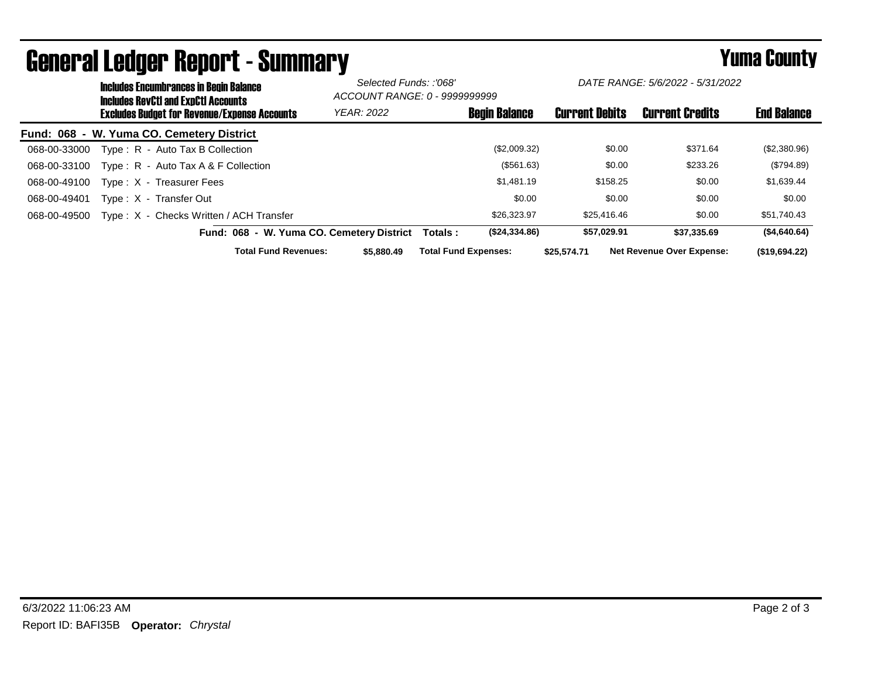|                                                     | <b>Includes Encumbrances in Begin Balance</b><br><b>Includes RevCtI and ExpCtI Accounts</b> |                                           | Selected Funds: :'068'<br>ACCOUNT RANGE: 0 - 9999999999 |                             | DATE RANGE: 5/6/2022 - 5/31/2022 |                        |                                  |               |
|-----------------------------------------------------|---------------------------------------------------------------------------------------------|-------------------------------------------|---------------------------------------------------------|-----------------------------|----------------------------------|------------------------|----------------------------------|---------------|
| <b>Excludes Budget for Revenue/Expense Accounts</b> |                                                                                             | <b>YEAR: 2022</b>                         |                                                         | <b>Begin Balance</b>        | <b>Current Debits</b>            | <b>Current Credits</b> | <b>End Balance</b>               |               |
|                                                     |                                                                                             | Fund: 068 - W. Yuma CO. Cemetery District |                                                         |                             |                                  |                        |                                  |               |
| 068-00-33000                                        |                                                                                             | Type: R - Auto Tax B Collection           |                                                         |                             | (\$2,009.32)                     | \$0.00                 | \$371.64                         | (\$2,380.96)  |
| 068-00-33100                                        |                                                                                             | Type: $R -$ Auto Tax A & F Collection     |                                                         |                             | (\$561.63)                       | \$0.00                 | \$233.26                         | (\$794.89)    |
| 068-00-49100                                        |                                                                                             | Type: X - Treasurer Fees                  |                                                         |                             | \$1,481.19                       | \$158.25               | \$0.00                           | \$1,639.44    |
| 068-00-49401                                        |                                                                                             | Type: X - Transfer Out                    |                                                         |                             | \$0.00                           | \$0.00                 | \$0.00                           | \$0.00        |
| 068-00-49500                                        |                                                                                             | Type: X - Checks Written / ACH Transfer   |                                                         |                             | \$26,323.97                      | \$25,416,46            | \$0.00                           | \$51,740.43   |
|                                                     |                                                                                             | Fund: 068 - W. Yuma CO. Cemetery District |                                                         | Totals :                    | (\$24,334.86)                    | \$57,029.91            | \$37.335.69                      | (\$4,640.64)  |
|                                                     |                                                                                             | <b>Total Fund Revenues:</b>               | \$5,880,49                                              | <b>Total Fund Expenses:</b> |                                  | \$25.574.71            | <b>Net Revenue Over Expense:</b> | (\$19,694.22) |

## General Ledger Report - Summary **Example 2018** Yuma County